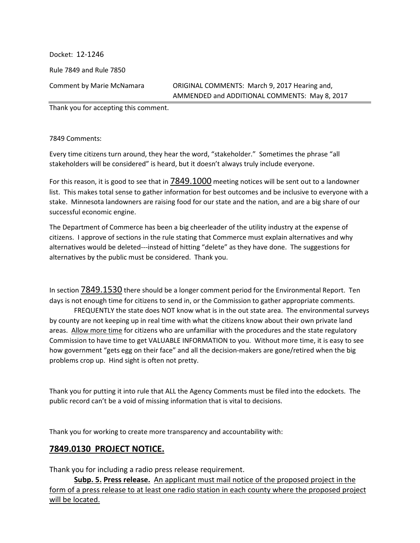Docket: 12-1246 Rule 7849 and Rule 7850

Comment by Marie McNamara ORIGINAL COMMENTS: March 9, 2017 Hearing and, AMMENDED and ADDITIONAL COMMENTS: May 8, 2017

Thank you for accepting this comment.

7849 Comments:

Every time citizens turn around, they hear the word, "stakeholder." Sometimes the phrase "all stakeholders will be considered" is heard, but it doesn't always truly include everyone.

For this reason, it is good to see that in 7849.1000 meeting notices will be sent out to a landowner list. This makes total sense to gather information for best outcomes and be inclusive to everyone with a stake. Minnesota landowners are raising food for our state and the nation, and are a big share of our successful economic engine.

The Department of Commerce has been a big cheerleader of the utility industry at the expense of citizens. I approve of sections in the rule stating that Commerce must explain alternatives and why alternatives would be deleted---instead of hitting "delete" as they have done. The suggestions for alternatives by the public must be considered. Thank you.

In section 7849.1530 there should be a longer comment period for the Environmental Report. Ten days is not enough time for citizens to send in, or the Commission to gather appropriate comments.

 FREQUENTLY the state does NOT know what is in the out state area. The environmental surveys by county are not keeping up in real time with what the citizens know about their own private land areas. Allow more time for citizens who are unfamiliar with the procedures and the state regulatory Commission to have time to get VALUABLE INFORMATION to you. Without more time, it is easy to see how government "gets egg on their face" and all the decision-makers are gone/retired when the big problems crop up. Hind sight is often not pretty.

Thank you for putting it into rule that ALL the Agency Comments must be filed into the edockets. The public record can't be a void of missing information that is vital to decisions.

Thank you for working to create more transparency and accountability with:

#### **7849.0130 PROJECT NOTICE.**

Thank you for including a radio press release requirement.

**Subp. 5. Press release.** An applicant must mail notice of the proposed project in the form of a press release to at least one radio station in each county where the proposed project will be located.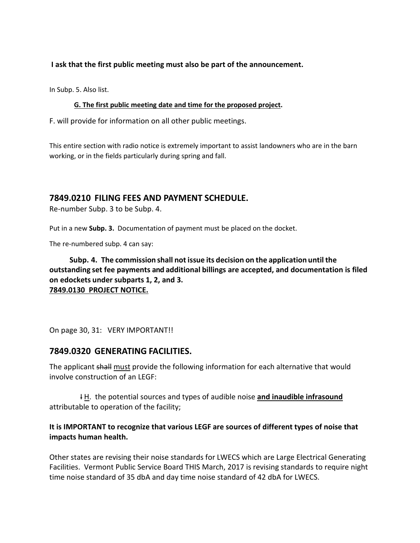#### **I ask that the first public meeting must also be part of the announcement.**

In Subp. 5. Also list.

#### **G. The first public meeting date and time for the proposed project.**

F. will provide for information on all other public meetings.

This entire section with radio notice is extremely important to assist landowners who are in the barn working, or in the fields particularly during spring and fall.

#### **7849.0210 FILING FEES AND PAYMENT SCHEDULE.**

Re-number Subp. 3 to be Subp. 4.

Put in a new **Subp. 3.** Documentation of payment must be placed on the docket.

The re-numbered subp. 4 can say:

**Subp. 4. The commission shall not issue its decision on the application until the outstanding set fee payments and additional billings are accepted, and documentation is filed on edockets under subparts 1, 2, and 3. 7849.0130 PROJECT NOTICE.** 

On page 30, 31: VERY IMPORTANT!!

#### **7849.0320 GENERATING FACILITIES.**

The applicant shall must provide the following information for each alternative that would involve construction of an LEGF:

IH. the potential sources and types of audible noise and inaudible infrasound attributable to operation of the facility;

#### **It is IMPORTANT to recognize that various LEGF are sources of different types of noise that impacts human health.**

Other states are revising their noise standards for LWECS which are Large Electrical Generating Facilities. Vermont Public Service Board THIS March, 2017 is revising standards to require night time noise standard of 35 dbA and day time noise standard of 42 dbA for LWECS.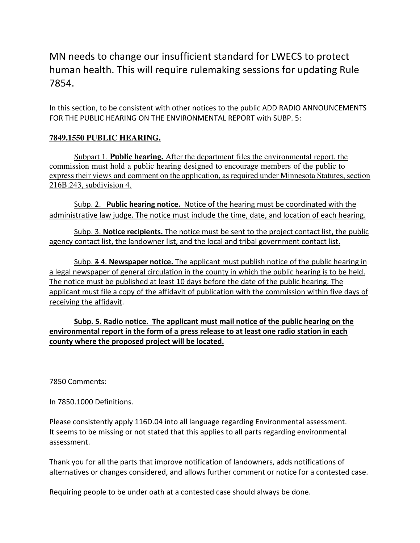# MN needs to change our insufficient standard for LWECS to protect human health. This will require rulemaking sessions for updating Rule 7854.

In this section, to be consistent with other notices to the public ADD RADIO ANNOUNCEMENTS FOR THE PUBLIC HEARING ON THE ENVIRONMENTAL REPORT with SUBP. 5:

### **7849.1550 PUBLIC HEARING.**

 Subpart 1. **Public hearing.** After the department files the environmental report, the commission must hold a public hearing designed to encourage members of the public to express their views and comment on the application, as required under Minnesota Statutes, section 216B.243, subdivision 4.

 Subp. 2. **Public hearing notice.** Notice of the hearing must be coordinated with the administrative law judge. The notice must include the time, date, and location of each hearing.

 Subp. 3. **Notice recipients.** The notice must be sent to the project contact list, the public agency contact list, the landowner list, and the local and tribal government contact list.

 Subp. 3 4. **Newspaper notice.** The applicant must publish notice of the public hearing in a legal newspaper of general circulation in the county in which the public hearing is to be held. The notice must be published at least 10 days before the date of the public hearing. The applicant must file a copy of the affidavit of publication with the commission within five days of receiving the affidavit.

#### **Subp. 5. Radio notice. The applicant must mail notice of the public hearing on the environmental report in the form of a press release to at least one radio station in each county where the proposed project will be located.**

7850 Comments:

In 7850.1000 Definitions.

Please consistently apply 116D.04 into all language regarding Environmental assessment. It seems to be missing or not stated that this applies to all parts regarding environmental assessment.

Thank you for all the parts that improve notification of landowners, adds notifications of alternatives or changes considered, and allows further comment or notice for a contested case.

Requiring people to be under oath at a contested case should always be done.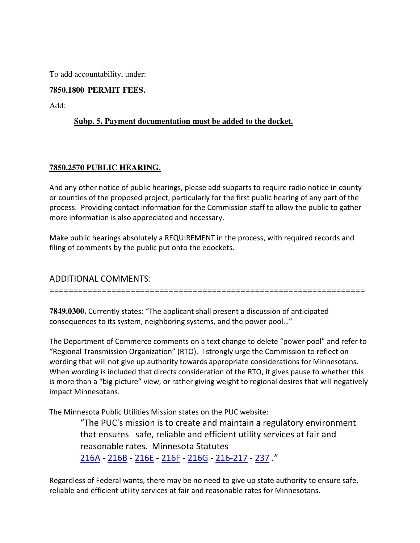To add accountability, under:

#### **7850.1800 PERMIT FEES.**

Add:

#### **Subp. 5. Payment documentation must be added to the docket.**

#### **7850.2570 PUBLIC HEARING.**

And any other notice of public hearings, please add subparts to require radio notice in county or counties of the proposed project, particularly for the first public hearing of any part of the process. Providing contact information for the Commission staff to allow the public to gather more information is also appreciated and necessary.

Make public hearings absolutely a REQUIREMENT in the process, with required records and filing of comments by the public put onto the edockets.

### ADDITIONAL COMMENTS:

==================================================================

**7849.0300.** Currently states: "The applicant shall present a discussion of anticipated consequences to its system, neighboring systems, and the power pool…"

The Department of Commerce comments on a text change to delete "power pool" and refer to "Regional Transmission Organization" (RTO). I strongly urge the Commission to reflect on wording that will not give up authority towards appropriate considerations for Minnesotans. When wording is included that directs consideration of the RTO, it gives pause to whether this is more than a "big picture" view, or rather giving weight to regional desires that will negatively impact Minnesotans.

The Minnesota Public Utilities Mission states on the PUC website:

"The PUC's mission is to create and maintain a regulatory environment that ensures safe, reliable and efficient utility services at fair and reasonable rates. Minnesota Statutes 216A - 216B - 216E - 216F - 216G - 216-217 - 237 ."

Regardless of Federal wants, there may be no need to give up state authority to ensure safe, reliable and efficient utility services at fair and reasonable rates for Minnesotans.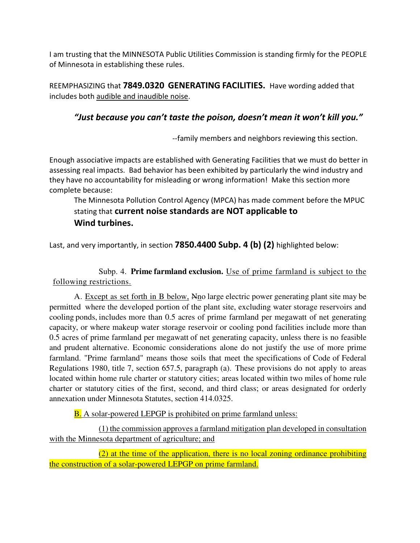I am trusting that the MINNESOTA Public Utilities Commission is standing firmly for the PEOPLE of Minnesota in establishing these rules.

REEMPHASIZING that **7849.0320 GENERATING FACILITIES.** Have wording added that includes both audible and inaudible noise.

## *"Just because you can't taste the poison, doesn't mean it won't kill you."*

--family members and neighbors reviewing this section.

Enough associative impacts are established with Generating Facilities that we must do better in assessing real impacts. Bad behavior has been exhibited by particularly the wind industry and they have no accountability for misleading or wrong information! Make this section more complete because:

The Minnesota Pollution Control Agency (MPCA) has made comment before the MPUC stating that **current noise standards are NOT applicable to Wind turbines.** 

Last, and very importantly, in section **7850.4400 Subp. 4 (b) (2)** highlighted below:

Subp. 4. **Prime farmland exclusion.** Use of prime farmland is subject to the following restrictions.

 A. Except as set forth in B below, Nno large electric power generating plant site may be permitted where the developed portion of the plant site, excluding water storage reservoirs and cooling ponds, includes more than 0.5 acres of prime farmland per megawatt of net generating capacity, or where makeup water storage reservoir or cooling pond facilities include more than 0.5 acres of prime farmland per megawatt of net generating capacity, unless there is no feasible and prudent alternative. Economic considerations alone do not justify the use of more prime farmland. "Prime farmland" means those soils that meet the specifications of Code of Federal Regulations 1980, title 7, section 657.5, paragraph (a). These provisions do not apply to areas located within home rule charter or statutory cities; areas located within two miles of home rule charter or statutory cities of the first, second, and third class; or areas designated for orderly annexation under Minnesota Statutes, section 414.0325.

**B.** A solar-powered LEPGP is prohibited on prime farmland unless:

 (1) the commission approves a farmland mitigation plan developed in consultation with the Minnesota department of agriculture; and

 (2) at the time of the application, there is no local zoning ordinance prohibiting the construction of a solar-powered LEPGP on prime farmland.